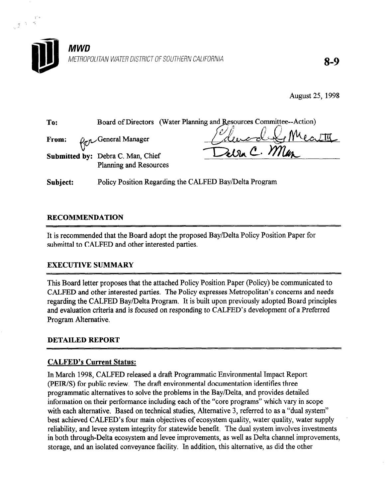

August 25, 1998

| To:                  |                                                          | Board of Directors (Water Planning and Resources Committee--Action) |
|----------------------|----------------------------------------------------------|---------------------------------------------------------------------|
| From:                | Pro General Manager<br>Submitted by: Debra C. Man, Chief | Elevard Se Meath<br>Deva C. Man                                     |
|                      | <b>Planning and Resources</b>                            |                                                                     |
| Subiect <sup>.</sup> | Policy Position Regarding the CALEED Bay/Delta Program   |                                                                     |

# RECOMMENDATION

्<br>जुट्टा प्राप्त<br>स्टब्स्

It is recommended that the Board adopt the proposed Bay/Delta Policy Position Paper for submittal to CALFED and other interested parties.

# EXECUTIVE SUMMARY

This Board letter proposes that the attached Policy Position Paper (Policy) be communicated to This board letter proposes that the attached Folicy Fostform aper (Folicy) be communicated to CALFED and other interested parties. The Policy expresses Metropolitan's concerns and needs regarding the CALFED Bay/Delta Program. It is built upon previously adopted Board principles and evaluation criteria and is focused on responding to CALFED's development of a Preferred Program Alternative.

# $\sum_{i=1}^n$

In March 1998, CALFED released a draft Programmatic Environmental Impact Report (PEIR/S) for public review. The draft environmental documentation identifies three programmatic alternatives to solve the problems in the Bay/Delta, and provides detailed information on their performance including each of the "core programs" which vary in scope with each alternative. Based on technical studies, Alternative 3, referred to as a "dual system" best achieved CALFED's four main objectives of ecosystem quality, water quality, water supply reliability, and levee system integrity for statewide benefit. The dual system involves investments in both through-Delta ecosystem and levee improvements, as well as Delta channel improvements, storage, and an isolated conveyance facility. In addition, this alternative, as did the other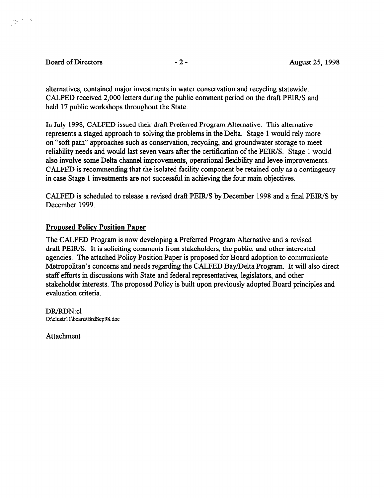## Board of Directors -2 - August 25, 1998

 $\frac{1}{\sqrt{2}}\left(\frac{1}{\sqrt{2}}\right)^{1/2}$ 

alternatives, contained major investments in water conservation and recycling statewide. CALFED received 2,000 letters during the public comment period on the draft PEIWS and held 17 public workshops throughout the State.

In July 1998, CALFED issued their draft Preferred Program Alternative. This alternative represents a staged approach to solving the problems in the Delta. Stage 1 would rely more on "soft path" approaches such as conservation, recycling, and groundwater storage to meet reliability needs and would last seven years after the certification of the PEWS. Stage 1 would also involve some Delta channel improvements, operational flexibility and levee improvements. CALFED is recommending that the isolated facility component be retained only as a contingency in case Stage 1 investments are not successful in achieving the four main objectives.

CALFED is scheduled to release a revised draft PEIR/S by December 1998 and a final PEIR/S by December 1999.

# **Proposed Policy Position Paper**

The CALFED Program is now developing a Preferred Program Alternative and a revised draft PEIWS. It is soliciting comments from stakeholders, the public, and other interested agencies. The attached Policy Position Paper is proposed for Board adoption to communicate Metropolitan's concerns and needs regarding the CALFED Bay/Delta Program. It will also direct staff efforts in discussions with State and federal representatives, legislators, and other stakeholder interests. The proposed Policy is built upon previously adopted Board principles and evaluation criteria.

DR/RDN: cl O:\clustrl l\boardiBrdSep98.doc

**Attachment**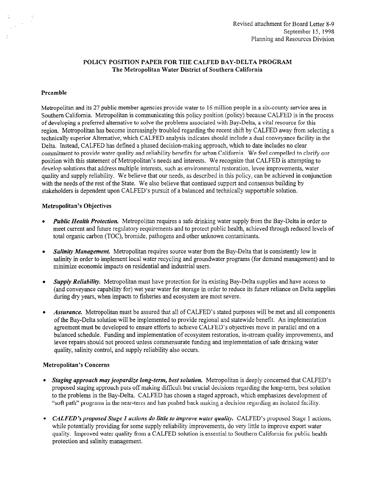### POLICY POSITION PAPER FOR THE CALFED BAY-DELTA PROGRAM The Metropolitan Water District of Southern California

#### Preamble

1997)<br>1997 - Paris

Metropolitan and its 27 public member agencies provide water to 16 million people in a six-county service area in Southern California. Metropolitan is communicating this policy position (policy) because CALFED is in the process of developing a preferred alternative to solve the problems associated with Bay-Delta, a vital resource for this region. Metropolitan has become increasingly troubled regarding the recent shift by CALFED away from selecting a technically superior Alternative, which CALFED analysis indicates should include a dual conveyance facility in the Delta. Instead, CALFED has defined a phased decision-making approach, which to date includes no clear commitment to provide water quality and reliability benefits for urban California. We feel compelled to clarify our position with this statement of Metropolitan's needs and interests. We recognize that CALFED is attempting to develop solutions that address multiple interests, such as environmental restoration, levee improvements, water quality and supply reliability. We believe that our needs, as described in this policy, can be achieved in conjunction with the needs of the rest of the State. We also believe that continued support and consensus building by stakeholders is dependent upon CALFED's pursuit of a balanced and technically supportable solution.

#### Metropolitan's Objectives

- <sup>l</sup>Public Health Protection. Metropolitan requires a safe drinking water supply from the Bay-Delta in order to *met current and future regulation*, recupement requires a sale drinking walk supply from the Day-Dena in order to meet current and future regulatory requirements and to protect public health, achieved through reduced levels of total organic carbon (TOC), bromide, pathogens and other unknown contaminants.
- <sup>l</sup>Salinity Management. Metropolitan requires source water from the Bay-Delta that is consistently low in **Salinity Management.** Metropolitan requires source water from the Bay-Dena mat is consistently fow in salinity in order to implement local water recycling and groundwater programs (for demand management) and to minimize economic impacts on residential and industrial users.
- $\bullet$ Supply Rehability. Metropolitan must have protection for its existing Bay-Delta supplies and have access to (and conveyance capability for) wet year water for storage in order to reduce its future reliance on Delta supplies during dry years, when impacts to fisheries and ecosystem are most severe.
- Assurance. Metropolitan must be assured that all of CALFED's stated purposes will be met and all components of the Bay-Delta solution will be implemented to provide regional and statewide benefit. An implementation agreement must be developed to ensure efforts to achieve CALFED's objectives move in parallel and on a balanced schedule. Funding and implementation of ecosystem restoration, in-stream quality improvements, and levee repairs should not proceed unless commensurate funding and implementation of safe drinking water quality, salinity control, and supply reliability also occurs.

#### **Metropolitan's Concerns**

- Staging approach may ieopardize long-term, best solution. Metropolitan is deeply concerned that CALFED's proposed staging approach puts off making difficult but crucial decisions regarding the long-term, best solution to the problems in the Bay-Delta. CALFED has chosen a staged approach, which emphasizes development of "soft path" programs in the near-term and has pushed back making a decision regarding an isolated facility.
- CALFED's proposed Stage 1 actions do little to improve water quality. CALFED's proposed Stage 1 actions, while potentially providing for some supply reliability improvements, do very little to improve export water quality. Improved water quality from a CALFED solution is essential to Southern California for public health protection and salinity management.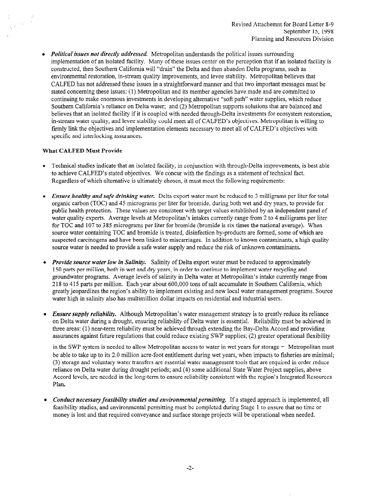• Political issues not directly addressed. Metropolitan understands the political issues surrounding implementation of an isolated facility. Many of these issues center on the perception that if an isolated facility is constructed, then Southern California will "drain" the Delta and then abandon Delta programs, such as environmental restoration, m-stream quality improvements, and levee stability. Metropolitan believes that CALFED has not addressed these issues in a straightforward manner and that two important messages must be stated concerning these issues: (1) Metropolitan and its member agencies have made and are committed to continuing to make enormous investments in developing alternative "soft path" water supplies, which reduce Southern California's reliance on Delta water; and (2) Metropolitan supports solutions that are balanced and believes that an isolated facility if it is coupled with needed through-Delta investments for ecosystem restoration, in-stream water quality, and levee stability could meet all of CALFED's objectives. Metropolitan is willing to firmly link the objectives and implementation elements necessary to meet all of CALFED's objectives with specific and interlocking assurances.

#### What CALFED Must Provide

- <sup>l</sup>Technical studies indicate that an isolated facility, in conjunction with through-Delta improvements, is best able to achieve CALFED's stated objectives. We concur with the findings as a statement of technical fact. Regardless of which alternative is ultimately chosen, it must meet the following requirements:
- **Ensure healthy and safe drinking water.** Delta export water must be reduced to 3 milligrams per liter for total organic carbon (TOC) and 45 micrograms per liter for bromide, during both wet and dry years, to provide for public health protection. These values are consistent with target values established by an independent panel of water quality experts. Average levels at Metropolitan's intakes currently range from 2 to 4 milligrams per liter for TOC and 107 to 385 micrograms per liter for bromide (bromide is six times the national average). When source water containing TOC and bromide is treated, disinfection by-products are formed, some of which are suspected carcinogens and have been linked to miscarriages. In addition to known contaminants, a high quality source water is needed to provide a safe water supply and reduce the risk of unknown contaminants.
- Provide source water low in Salinity. Salinity of Delta export water must be reduced to approximately 150 parts per million, both in wet and dry years, in order to continue to implement water recycling and groundwater programs. Average levels of salinity in Delta water at Metropolitan's intake currently range from 2 18 to 4 15 parts per million. Each year about 600,000 tons of salt accumulate in Southern California, which greatly jeopardizes the region's ability to implement existing and new local water management programs. Source water high in salinity also has multimillion dollar impacts on residential and industrial users.
- Ensure supply reliability. Although Metropolitan's water management strategy is to greatly reduce its reliance on Delta water during a drought, ensuring reliability of Delta water is essential. Reliability must be achieved in three areas: (1) near-term reliability must be achieved through extending the Bay-Delta Accord and providing assurances against future regulations that could reduce existing SWP supplies; (2) greater operational flexibility

in the SWP system is needed to allow Metropolitan access to water in wet years for storage  $-$  Metropolitan must be able to take up to its 2.0 million acre-foot entitlement during wet years, when impacts to fisheries are minimal; (3) storage and voluntary water transfers are essential water management tools that are required in order reduce reliance on Delta water during drought periods; and (4) some additional State Water Project supplies, above Accord levels, are needed in the long-term to ensure reliability consistent with the region's Integrated Resources Plan.

• Conduct necessary feasibility studies and environmental permitting. If a staged approach is implemented, all feasibility studies, and environmental permitting must be completed during Stage 1 to ensure that no time or money is lost and that required conveyance and surface storage projects will be operational when needed.